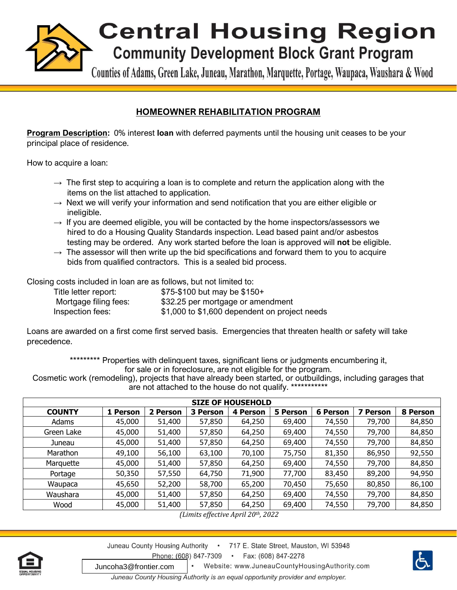

Counties of Adams, Green Lake, Juneau, Marathon, Marquette, Portage, Waupaca, Waushara & Wood

## **HOMEOWNER REHABILITATION PROGRAM**

**Program Description:** 0% interest **loan** with deferred payments until the housing unit ceases to be your principal place of residence.

How to acquire a loan:

- $\rightarrow$  The first step to acquiring a loan is to complete and return the application along with the items on the list attached to application.
- $\rightarrow$  Next we will verify your information and send notification that you are either eligible or ineligible.
- $\rightarrow$  If you are deemed eligible, you will be contacted by the home inspectors/assessors we hired to do a Housing Quality Standards inspection. Lead based paint and/or asbestos testing may be ordered. Any work started before the loan is approved will **not** be eligible.
- $\rightarrow$  The assessor will then write up the bid specifications and forward them to you to acquire bids from qualified contractors. This is a sealed bid process.

Closing costs included in loan are as follows, but not limited to:

| Title letter report:  | $$75-\$100$ but may be $$150+$                |
|-----------------------|-----------------------------------------------|
| Mortgage filing fees: | \$32.25 per mortgage or amendment             |
| Inspection fees:      | \$1,000 to \$1,600 dependent on project needs |

Loans are awarded on a first come first served basis. Emergencies that threaten health or safety will take precedence.

> \*\*\*\*\*\*\*\*\* Properties with delinquent taxes, significant liens or judgments encumbering it, for sale or in foreclosure, are not eligible for the program.

Cosmetic work (remodeling), projects that have already been started, or outbuildings, including garages that are not attached to the house do not qualify. \*\*\*\*\*\*\*\*\*\*\*\*

| <b>SIZE OF HOUSEHOLD</b> |          |          |          |          |                 |                 |             |          |  |  |
|--------------------------|----------|----------|----------|----------|-----------------|-----------------|-------------|----------|--|--|
| <b>COUNTY</b>            | 1 Person | 2 Person | 3 Person | 4 Person | <b>5 Person</b> | <b>6 Person</b> | 7<br>Person | 8 Person |  |  |
| Adams                    | 45,000   | 51,400   | 57,850   | 64,250   | 69,400          | 74,550          | 79,700      | 84,850   |  |  |
| Green Lake               | 45,000   | 51,400   | 57,850   | 64,250   | 69,400          | 74,550          | 79,700      | 84,850   |  |  |
| Juneau                   | 45,000   | 51,400   | 57,850   | 64,250   | 69,400          | 74,550          | 79,700      | 84,850   |  |  |
| Marathon                 | 49,100   | 56,100   | 63,100   | 70,100   | 75,750          | 81,350          | 86,950      | 92,550   |  |  |
| Marquette                | 45,000   | 51,400   | 57,850   | 64,250   | 69,400          | 74,550          | 79,700      | 84,850   |  |  |
| Portage                  | 50,350   | 57,550   | 64,750   | 71,900   | 77,700          | 83,450          | 89,200      | 94,950   |  |  |
| Waupaca                  | 45,650   | 52,200   | 58,700   | 65,200   | 70,450          | 75,650          | 80,850      | 86,100   |  |  |
| Waushara                 | 45,000   | 51,400   | 57,850   | 64,250   | 69,400          | 74,550          | 79,700      | 84,850   |  |  |
| Wood                     | 45,000   | 51,400   | 57,850   | 64,250   | 69,400          | 74,550          | 79,700      | 84,850   |  |  |

*(Limits effective April 20th, 2022*



Juneau County Housing Authority . 717 E. State Street, Mauston, WI 53948 Phone: (608) 847-7309 • Fax:  $(608) 847 - 2278$ 



Website: www.JuneauCountyHousingAuthority.com Juncoha3@frontier.comJuneau County Housing Authority is an equal opportunity provider and employer.